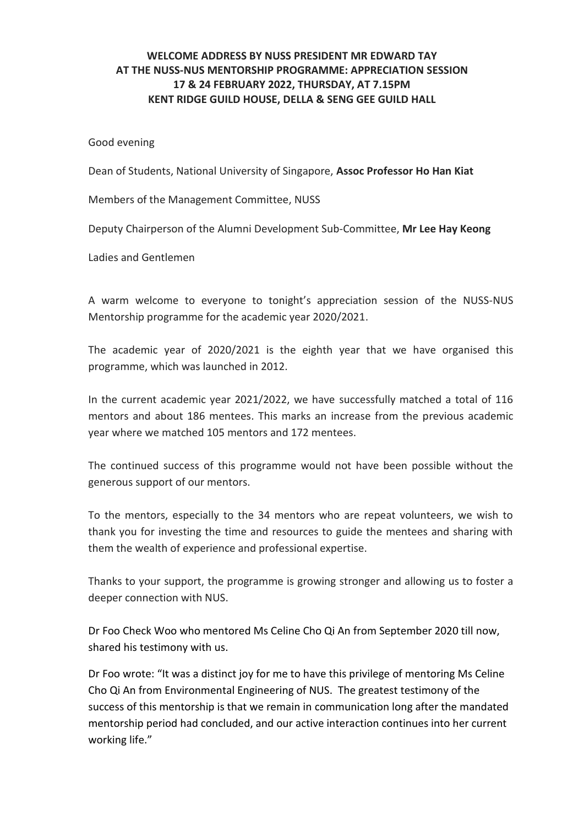## **WELCOME ADDRESS BY NUSS PRESIDENT MR EDWARD TAY AT THE NUSS-NUS MENTORSHIP PROGRAMME: APPRECIATION SESSION 17 & 24 FEBRUARY 2022, THURSDAY, AT 7.15PM KENT RIDGE GUILD HOUSE, DELLA & SENG GEE GUILD HALL**

Good evening

Dean of Students, National University of Singapore, **Assoc Professor Ho Han Kiat**

Members of the Management Committee, NUSS

Deputy Chairperson of the Alumni Development Sub-Committee, **Mr Lee Hay Keong**

Ladies and Gentlemen

A warm welcome to everyone to tonight's appreciation session of the NUSS-NUS Mentorship programme for the academic year 2020/2021.

The academic year of 2020/2021 is the eighth year that we have organised this programme, which was launched in 2012.

In the current academic year 2021/2022, we have successfully matched a total of 116 mentors and about 186 mentees. This marks an increase from the previous academic year where we matched 105 mentors and 172 mentees.

The continued success of this programme would not have been possible without the generous support of our mentors.

To the mentors, especially to the 34 mentors who are repeat volunteers, we wish to thank you for investing the time and resources to guide the mentees and sharing with them the wealth of experience and professional expertise.

Thanks to your support, the programme is growing stronger and allowing us to foster a deeper connection with NUS.

Dr Foo Check Woo who mentored Ms Celine Cho Qi An from September 2020 till now, shared his testimony with us.

Dr Foo wrote: "It was a distinct joy for me to have this privilege of mentoring Ms Celine Cho Qi An from Environmental Engineering of NUS. The greatest testimony of the success of this mentorship is that we remain in communication long after the mandated mentorship period had concluded, and our active interaction continues into her current working life."